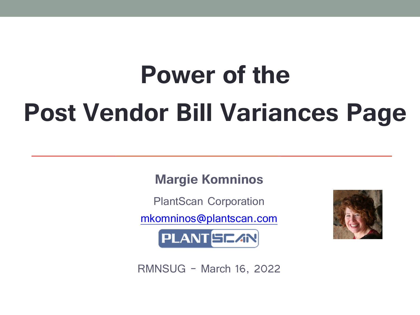# **Power of the Post Vendor Bill Variances Page**

**Margie Komninos**

PlantScan Corporation [mkomninos@plantscan.com](mailto:mkomninos@plantscan.com)



**PLANTSEAN** 

RMNSUG – March 16, 2022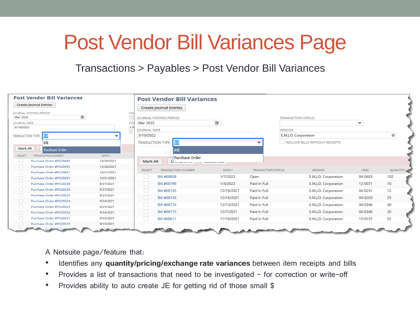# Post Vendor Bill Variances Page

Transactions > Payables > Post Vendor Bill Variances

|                     | <b>Post Vendor Bill Variances</b> |            |                               | <b>Post Vendor Bill Variances</b> |                  |                           |                                       |                          |          |
|---------------------|-----------------------------------|------------|-------------------------------|-----------------------------------|------------------|---------------------------|---------------------------------------|--------------------------|----------|
|                     | <b>Create Journal Entries</b>     |            |                               |                                   |                  |                           |                                       |                          |          |
|                     | <b>IOURNAL POSTING PERIOD</b>     |            | <b>TRA</b>                    | <b>Create Journal Entries</b>     |                  |                           |                                       |                          |          |
| <b>Mar 2022</b>     | 曾                                 |            |                               | <b>IOURNAL POSTING PERIOD</b>     |                  |                           | <b>TRANSACTION STATUS</b>             |                          |          |
| <b>JOURNAL DATE</b> |                                   |            | <b>VEN</b><br><b>Mar 2022</b> |                                   | $\square$        |                           |                                       | $\overline{\phantom{a}}$ |          |
| 3/10/2022           |                                   |            | E.N                           | <b>IOURNAL DATE</b>               |                  |                           | <b>VENDOR</b>                         |                          |          |
|                     | <b>TRANSACTION TYPE</b>           |            |                               | 3/10/2022                         |                  |                           | E.M.J.D. Corporation                  |                          | ×.       |
|                     |                                   |            |                               |                                   |                  |                           |                                       |                          |          |
|                     | <b>Bill</b>                       |            |                               | <b>TRANSACTION TYPE</b>           |                  | $\overline{\phantom{a}}$  | <b>INCLUDE BILLS WITHOUT RECEIPTS</b> |                          |          |
| <b>Mark All</b>     | Purchase Order                    |            |                               | <b>Bill</b>                       |                  |                           |                                       |                          |          |
| <b>SELECT</b>       | <b>TRANSACTION NUMBER</b>         | DATE v     |                               | <b>Purchase Order</b>             |                  |                           |                                       |                          |          |
|                     | Purchase Order #PO28492           | 10/26/2021 |                               | <b>Mark All</b><br>Ummarken       | <b>SARATHING</b> |                           |                                       |                          |          |
|                     | Purchase Order #PO28492           | 10/26/2021 | <b>SELECT</b>                 | <b>TRANSACTION NUMBER</b>         | $DATE =$         | <b>TRANSACTION STATUS</b> | <b>VENDOR</b>                         | <b>ITEM</b>              | QUANTITY |
|                     | Purchase Order #PO28451           | 10/21/2021 |                               | Bill #68808                       | 1/7/2022         | Open                      | E.M.J.D. Corporation                  | 04-0403                  | 102      |
|                     | Purchase Order #PO28451           | 10/21/2021 |                               |                                   |                  |                           |                                       |                          |          |
|                     | Purchase Order #PO28336           | 9/27/2021  |                               | Bill #68796                       | 1/4/2022         | Paid In Full              | E.M.J.D. Corporation                  | 12-0071                  | 10       |
|                     | Purchase Order #PO28334           | 9/27/2021  |                               | Bill #68745                       | 12/16/2021       | Paid In Full              | E.M.J.D. Corporation                  | 04-0231                  | 12       |
|                     | Purchase Order #PO28324           | 9/24/2021  |                               | Bill #68743                       | 12/16/2021       | Paid In Full              | E.M.J.D. Corporation                  | 04-0203                  | 25       |
|                     | Purchase Order #PO28324           | 9/24/2021  |                               | Bill #68724                       | 12/13/2021       | Paid In Full              | E.M.J.D. Corporation                  | 04-0346                  | 40       |
|                     | Purchase Order #PO28324           | 9/24/2021  |                               |                                   |                  |                           |                                       |                          |          |
|                     | Purchase Order #PO28324           | 9/24/2021  |                               | Bill #68715                       | 12/7/2021        | Paid In Full              | E.M.J.D. Corporation                  | 04-0346                  | 20       |
|                     | Purchase Order #PO28321           | 9/23/2021  |                               | Bill #68611                       | 11/16/2021       | Paid In Full              | E.M.J.D. Corporation                  | 15-0137                  | 52       |
|                     | Purchase Order #PO28319           | 9/23/2021  |                               |                                   |                  |                           |                                       |                          |          |

A Netsuite page/feature that:

- Identifies any **quantity/pricing/exchange rate variances** between item receipts and bills
- Provides a list of transactions that need to be investigated for correction or write-off
- Provides ability to auto create JE for getting rid of those small \$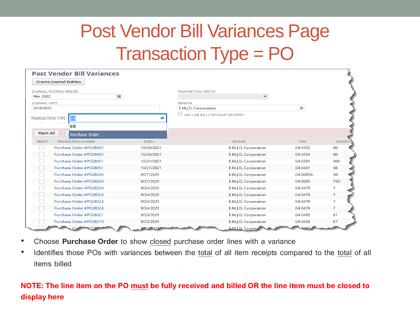### Post Vendor Bill Variances Page Transaction Type = PO

| <b>Post Vendor Bill Variances</b>          |            |                                |             |         |
|--------------------------------------------|------------|--------------------------------|-------------|---------|
| <b>Create Journal Entries</b>              |            |                                |             |         |
| <b>IOURNAL POSTING PERIOD</b>              |            | <b>TRANSACTION STATUS</b>      |             |         |
| Mar 2022                                   | 冒          |                                |             |         |
| <b>IOURNAL DATE</b>                        |            | <b>VENDOR</b>                  |             |         |
| 3/10/2022                                  |            | E.M.J.D. Corporation           | ะ           |         |
| <b>TRANSACTION TYPE</b><br>Bill            | ╺          | INCLUDE BILLS WITHOUT RECEIPTS |             |         |
| <b>Bill</b>                                |            |                                |             |         |
| <b>Mark All</b><br>Purchase Order          |            |                                |             |         |
| <b>TRANSACTION NUMBER</b><br><b>SELECT</b> | DATE v     | <b>VENDOR</b>                  | <b>ITEM</b> | QUANTIT |
| Purchase Order #PO28492                    | 10/26/2021 | E.M.J.D. Corporation           | 04-0352     | 60      |
| Purchase Order #PO28492                    | 10/26/2021 | E.M.J.D. Corporation           | 04-0354     | 60      |
| Purchase Order #PO28451                    | 10/21/2021 | E.M.J.D. Corporation           | 04-0381     | 400     |
| Purchase Order #PO28451                    | 10/21/2021 | E.M.J.D. Corporation           | 04-0401     | 38      |
| Purchase Order #PO28336                    | 9/27/2021  | E.M.J.D. Corporation           | 04-0085A    | 50      |
| Purchase Order #PO28334                    | 9/27/2021  | E.M.J.D. Corporation           | 04-0085     | 150     |
| Purchase Order #PO28324                    | 9/24/2021  | E.M.J.D. Corporation           | 04-0479     | 7       |
| Purchase Order #PO28324                    | 9/24/2021  | E.M.J.D. Corporation           | 04-0479     | 7       |
| Purchase Order #PO28324                    | 9/24/2021  | E.M.J.D. Corporation           | 04-0479     | 7       |
| Purchase Order #PO28324                    | 9/24/2021  | E.M.J.D. Corporation           | 04-0479     | 7       |
| Purchase Order #PO28321                    | 9/23/2021  | E.M.J.D. Corporation           | 04-0495     | 81      |
| Purchase Order #PO28319                    | 9/23/2021  | E.M.J.D. Corporation           | 04-0428     | 67      |
| $\epsilon$ Or $\sim$ $102$                 | 0.33.321   | <b>E.M.I.D. Corporation</b>    | LAGRIN      |         |

- Choose **Purchase Order** to show closed purchase order lines with a variance
- Identifies those POs with variances between the total of all item receipts compared to the total of all items billed

#### **NOTE: The line item on the PO must be fully received and billed OR the line item must be closed to display here**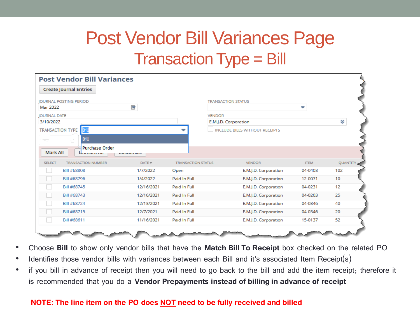### Post Vendor Bill Variances Page Transaction Type = Bill

|                     | <b>Post Vendor Bill Variances</b> |                   |                           |                                       |             |          |
|---------------------|-----------------------------------|-------------------|---------------------------|---------------------------------------|-------------|----------|
|                     | <b>Create Journal Entries</b>     |                   |                           |                                       |             |          |
|                     | <b>IOURNAL POSTING PERIOD</b>     |                   |                           | <b>TRANSACTION STATUS</b>             |             |          |
| Mar 2022            |                                   | 함                 |                           |                                       |             |          |
| <b>IOURNAL DATE</b> |                                   |                   |                           | <b>VENDOR</b>                         |             |          |
| 3/10/2022           |                                   |                   |                           | E.M.J.D. Corporation                  |             | ₩        |
|                     | TRANSACTION TYPE<br>Bill          |                   |                           | <b>INCLUDE BILLS WITHOUT RECEIPTS</b> |             |          |
|                     | <b>Bill</b>                       |                   |                           |                                       |             |          |
|                     | <b>Purchase Order</b>             |                   |                           |                                       |             |          |
|                     |                                   |                   |                           |                                       |             |          |
| Mark All            | $U$ <sub>c</sub>                  | <u>u Musulman</u> |                           |                                       |             |          |
| <b>SELECT</b>       | <b>TRANSACTION NUMBER</b>         | $DATE =$          | <b>TRANSACTION STATUS</b> | <b>VENDOR</b>                         | <b>ITEM</b> | QUANTITY |
|                     | Bill #68808                       | 1/7/2022          | Open                      | E.M.J.D. Corporation                  | 04-0403     | 102      |
|                     | Bill #68796                       | 1/4/2022          | Paid In Full              | E.M.J.D. Corporation                  | 12-0071     | 10       |
|                     | Bill #68745                       | 12/16/2021        | Paid In Full              | E.M.J.D. Corporation                  | 04-0231     | 12       |
|                     | Bill #68743                       | 12/16/2021        | Paid In Full              | E.M.J.D. Corporation                  | 04-0203     | 25       |
|                     | Bill #68724                       | 12/13/2021        | Paid In Full              | E.M.J.D. Corporation                  | 04-0346     | 40       |
|                     | Bill #68715                       | 12/7/2021         | Paid In Full              | E.M.J.D. Corporation                  | 04-0346     | 20       |

- Choose **Bill** to show only vendor bills that have the **Match Bill To Receipt** box checked on the related PO
- Identifies those vendor bills with variances between each Bill and it's associated Item Receipt(s)
- if you bill in advance of receipt then you will need to go back to the bill and add the item receipt; therefore it is recommended that you do a **Vendor Prepayments instead of billing in advance of receipt**

#### **NOTE: The line item on the PO does NOT need to be fully received and billed**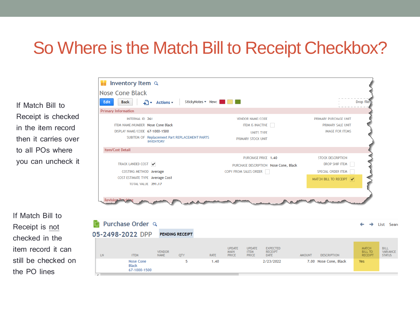### So Where is the Match Bill to Receipt Checkbox?

If Match Bill to Receipt is checked in the item record then it carries over to all POs where you can uncheck it



If Match Bill to Receipt is not checked in the item record it can still be checked on the PO lines

|                          | Purchase Order Q                          |                              |                        |             |                                              |                                              |                                                  |               |                       |                                                  | Searo<br>List                            |
|--------------------------|-------------------------------------------|------------------------------|------------------------|-------------|----------------------------------------------|----------------------------------------------|--------------------------------------------------|---------------|-----------------------|--------------------------------------------------|------------------------------------------|
|                          | 05-2498-2022 DPP                          |                              | <b>PENDING RECEIPT</b> |             |                                              |                                              |                                                  |               |                       |                                                  |                                          |
| LN                       | <b>ITEM</b>                               | <b>VENDOR</b><br><b>NAME</b> | QTY                    | <b>RATE</b> | <b>UPDATE</b><br><b>MAIN</b><br><b>PRICE</b> | <b>UPDATE</b><br><b>ITEM</b><br><b>PRICE</b> | <b>EXPECTED</b><br><b>RECEIPT</b><br><b>DATE</b> | <b>AMOUNT</b> | <b>DESCRIPTION</b>    | <b>MATCH</b><br><b>BILL TO</b><br><b>RECEIPT</b> | <b>BILL</b><br>VARIANCE<br><b>STATUS</b> |
|                          | Nose Cone<br><b>Black</b><br>67-1000-1500 |                              | 5                      | 1.40        |                                              |                                              | 2/23/2022                                        |               | 7.00 Nose Cone, Black | <b>Yes</b>                                       |                                          |
| $\overline{\phantom{a}}$ |                                           |                              |                        |             |                                              |                                              |                                                  |               |                       |                                                  |                                          |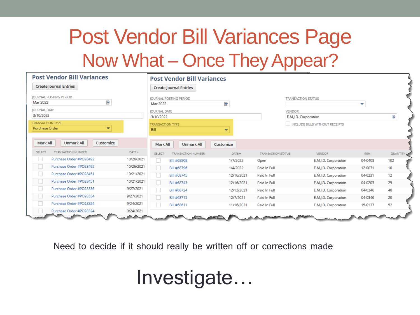# Post Vendor Bill Variances Page Now What – Once They Appear?

| <b>Post Vendor Bill Variances</b>                                            | <b>Post Vendor Bill Variances</b>                                            |                                            |                         |
|------------------------------------------------------------------------------|------------------------------------------------------------------------------|--------------------------------------------|-------------------------|
| <b>Create Journal Entries</b>                                                | <b>Create Journal Entries</b>                                                |                                            |                         |
| <b>IOURNAL POSTING PERIOD</b><br>冒<br>Mar 2022<br><b>IOURNAL DATE</b>        | <b>JOURNAL POSTING PERIOD</b><br>G<br><b>Mar 2022</b><br><b>JOURNAL DATE</b> | <b>TRANSACTION STATUS</b><br><b>VENDOR</b> | ۰                       |
| 3/10/2022                                                                    | 3/10/2022                                                                    | E.M.J.D. Corporation                       | ₩                       |
| <b>TRANSACTION TYPE</b><br><b>Purchase Order</b><br>$\overline{\phantom{a}}$ | <b>TRANSACTION TYPE</b><br><b>Bill</b><br>$\overline{\phantom{a}}$           | <b>INCLUDE BILLS WITHOUT RECEIPTS</b>      |                         |
| <b>Unmark All</b><br>Customize<br><b>Mark All</b>                            | Mark All<br><b>Unmark All</b><br>Customize                                   |                                            |                         |
| <b>TRANSACTION NUMBER</b><br>DATE v<br><b>SELECT</b>                         | <b>SELECT</b><br><b>TRANSACTION NUMBER</b><br>$DATE =$                       | <b>TRANSACTION STATUS</b><br><b>VENDOR</b> | QUANTITY<br><b>ITEM</b> |
| Purchase Order #PO28492<br>10/26/2021                                        | 1/7/2022<br>Bill #68808                                                      | E.M.J.D. Corporation<br>Open               | 102<br>04-0403          |
| Purchase Order #PO28492<br>10/26/2021                                        | Bill #68796<br>1/4/2022                                                      | Paid In Full<br>E.M.J.D. Corporation       | 10<br>12-0071           |
| Purchase Order #PO28451<br>10/21/2021                                        | Bill #68745<br>12/16/2021                                                    | Paid In Full<br>E.M.J.D. Corporation       | 12<br>04-0231           |
| Purchase Order #PO28451<br>10/21/2021                                        | Bill #68743<br>12/16/2021                                                    | Paid In Full<br>E.M.J.D. Corporation       | 04-0203<br>25           |
| Purchase Order #PO28336<br>9/27/2021                                         | Bill #68724<br>12/13/2021                                                    | Paid In Full<br>E.M.J.D. Corporation       | 40<br>04-0346           |
| Purchase Order #PO28334<br>9/27/2021                                         | Bill #68715<br>12/7/2021                                                     | Paid In Full<br>E.M.J.D. Corporation       | 20<br>04-0346           |
| Purchase Order #PO28324<br>9/24/2021                                         | Bill #68611<br>11/16/2021                                                    | Paid In Full<br>E.M.J.D. Corporation       | 52<br>15-0137           |
| Purchase Order #PO28324<br>9/24/2021<br><b>Contract Contract Contract</b>    | the first form                                                               |                                            |                         |

Need to decide if it should really be written off or corrections made

Investigate...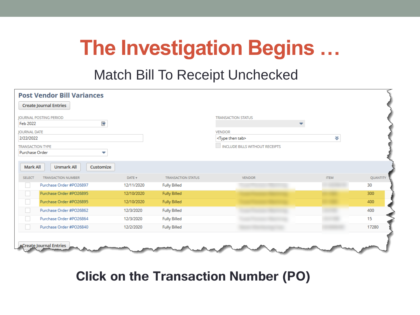# **The Investigation Begins …**

### Match Bill To Receipt Unchecked

| <b>Post Vendor Bill Variances</b>                 |            |                           |                                |             |          |
|---------------------------------------------------|------------|---------------------------|--------------------------------|-------------|----------|
| <b>Create Journal Entries</b>                     |            |                           |                                |             |          |
| <b>JOURNAL POSTING PERIOD</b>                     |            |                           | <b>TRANSACTION STATUS</b>      |             |          |
| 冒<br>Feb 2022                                     |            |                           | $\overline{\phantom{a}}$       |             |          |
| <b>JOURNAL DATE</b>                               |            |                           | <b>VENDOR</b>                  |             |          |
| 2/22/2022                                         |            |                           | <type tab="" then=""></type>   | ×,          |          |
| <b>TRANSACTION TYPE</b>                           |            |                           | INCLUDE BILLS WITHOUT RECEIPTS |             |          |
| Purchase Order<br>$\overline{\phantom{a}}$        |            |                           |                                |             |          |
| <b>Mark All</b><br><b>Unmark All</b><br>Customize |            |                           |                                |             |          |
| <b>TRANSACTION NUMBER</b><br><b>SELECT</b>        | DATE v     | <b>TRANSACTION STATUS</b> | <b>VENDOR</b>                  | <b>ITEM</b> | QUANTITY |
| Purchase Order #PO26897                           | 12/11/2020 | <b>Fully Billed</b>       |                                |             | 30       |
| Purchase Order #PO26895                           | 12/10/2020 | <b>Fully Billed</b>       |                                |             | 300      |
| Purchase Order #PO26895                           | 12/10/2020 | <b>Fully Billed</b>       |                                |             | 400      |
| Purchase Order #PO26862                           | 12/3/2020  | <b>Fully Billed</b>       |                                |             | 400      |
| Purchase Order #PO26864                           | 12/3/2020  | <b>Fully Billed</b>       |                                |             | 15       |
| Purchase Order #PO26840                           | 12/2/2020  | <b>Fully Billed</b>       |                                |             | 17280    |
|                                                   |            |                           |                                |             |          |
| <b>Create Journal Entries</b>                     |            |                           |                                |             |          |
|                                                   |            |                           |                                |             |          |

#### **Click on the Transaction Number (PO)**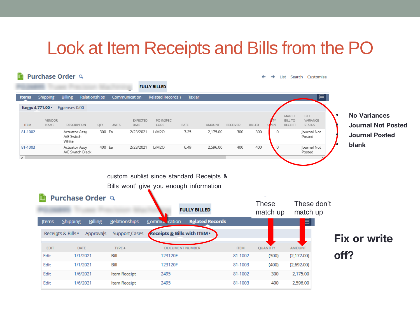### Look at Item Receipts and Bills from the PO

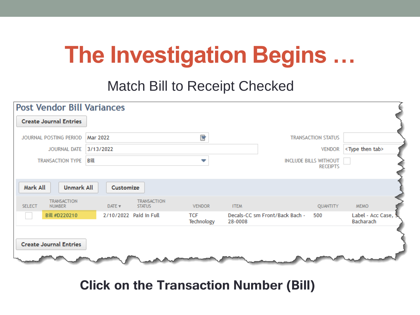# **The Investigation Begins …**

#### Match Bill to Receipt Checked

| <b>Post Vendor Bill Variances</b>                    |           |                                     |                          |             |                                |                                          |                                |
|------------------------------------------------------|-----------|-------------------------------------|--------------------------|-------------|--------------------------------|------------------------------------------|--------------------------------|
| <b>Create Journal Entries</b>                        |           |                                     |                          |             |                                |                                          |                                |
| JOURNAL POSTING PERIOD                               | Mar 2022  |                                     | C                        |             |                                | <b>TRANSACTION STATUS</b>                |                                |
| JOURNAL DATE                                         | 3/13/2022 |                                     |                          |             |                                | <b>VENDOR</b>                            | <type tab="" then=""></type>   |
| <b>TRANSACTION TYPE</b>                              | Bill      |                                     | ▼                        |             |                                | INCLUDE BILLS WITHOUT<br><b>RECEIPTS</b> |                                |
| Mark All<br><b>Unmark All</b>                        | Customize |                                     |                          |             |                                |                                          |                                |
| <b>TRANSACTION</b><br><b>SELECT</b><br><b>NUMBER</b> | DATE v    | <b>TRANSACTION</b><br><b>STATUS</b> | <b>VENDOR</b>            | <b>ITEM</b> |                                | QUANTITY                                 | <b>MEMO</b>                    |
| Bill #D220210                                        |           | 2/10/2022 Paid In Full              | <b>TCF</b><br>Technology | 28-0008     | Decals-CC sm Front/Back Bach - | 500                                      | Label - Acc Case,<br>Bacharach |
| <b>Create Journal Entries</b>                        |           |                                     |                          |             |                                |                                          |                                |

**Click on the Transaction Number (Bill)**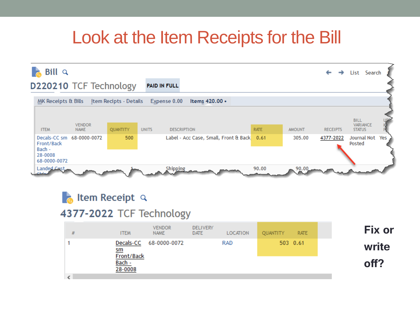### Look at the Item Receipts for the Bill



**a** Item Receipt  $Q$ 

#### 4377-2022 TCF Technology

| # | <b>ITEM</b>                   | <b>VENDOR</b><br><b>NAME</b> | <b>DELIVERY</b><br><b>DATE</b> | <b>LOCATION</b> | QUANTITY | <b>RATE</b> | <b>Fix or</b> |
|---|-------------------------------|------------------------------|--------------------------------|-----------------|----------|-------------|---------------|
|   | Decals-CC<br>sm<br>Front/Back | 68-0000-0072                 |                                | <b>RAD</b>      |          | 503 0.61    | write         |
|   | <u>Bach -</u><br>28-0008      |                              |                                |                 |          |             | off?          |
|   |                               |                              |                                |                 |          |             |               |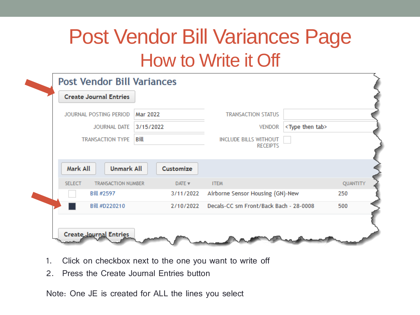### Post Vendor Bill Variances Page How to Write it Off

| JOURNAL POSTING PERIOD                     | Mar 2022  |           | <b>TRANSACTION STATUS</b>                |                              |          |
|--------------------------------------------|-----------|-----------|------------------------------------------|------------------------------|----------|
| JOURNAL DATE                               | 3/15/2022 |           | <b>VENDOR</b>                            | <type tab="" then=""></type> |          |
| <b>TRANSACTION TYPE</b>                    | Bill      |           | INCLUDE BILLS WITHOUT<br><b>RECEIPTS</b> |                              |          |
| Mark All<br><b>Unmark All</b>              |           | Customize |                                          |                              |          |
| <b>SELECT</b><br><b>TRANSACTION NUMBER</b> |           | $DATE =$  | <b>ITEM</b>                              |                              | QUANTITY |
| Bill #2597                                 |           | 3/11/2022 | Airborne Sensor Housing (GN)-New         |                              | 250      |
| Bill #D220210                              |           | 2/10/2022 | Decals-CC sm Front/Back Bach - 28-0008   |                              | 500      |

- 1. Click on checkbox next to the one you want to write off
- 2. Press the Create Journal Entries button

Note: One JE is created for ALL the lines you select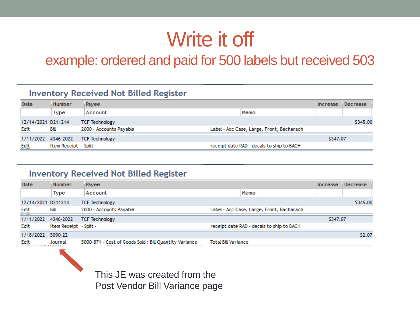### Write it off

### example: ordered and paid for 500 labels but received 503

#### **Inventory Received Not Billed Register**

| Date                            | Number                 | Payee                   |                                           | <b>Increase</b> | <b>Decrease</b> |
|---------------------------------|------------------------|-------------------------|-------------------------------------------|-----------------|-----------------|
|                                 | Type                   | Account                 | Memo                                      |                 |                 |
| 12/14/2021 D211214              |                        | <b>TCF Technology</b>   |                                           |                 | \$345.00        |
| Edit<br><b>***********</b>      | Bill                   | 2000 - Accounts Payable | Label - Acc Case, Large, Front, Bacharach |                 |                 |
| <b>***********</b><br>1/11/2022 | 4346-2022              | <b>TCF Technology</b>   |                                           | \$347.07        |                 |
| Edit                            | Item Receipt - Split - |                         | receipt date RAD - decals to ship to BACH |                 |                 |

#### **Inventory Received Not Billed Register**

| Date                           | Number                 | Payee                   |                                           | Increase | Decrease |
|--------------------------------|------------------------|-------------------------|-------------------------------------------|----------|----------|
|                                | <b>Type</b>            | Account                 | Memo                                      |          |          |
| 12/14/2021 D211214             |                        | <b>TCF Technology</b>   |                                           |          | \$345.00 |
| Edit                           | Bill                   | 2000 - Accounts Payable | Label - Acc Case, Large, Front, Bacharach |          |          |
|                                |                        |                         |                                           |          |          |
| <b>**********</b><br>1/11/2022 | 4346-2022              | <b>TCF Technology</b>   |                                           | S347.07  |          |
| Edit                           | Item Receipt - Split - |                         | receipt date RAD - decals to ship to BACH |          |          |
| 1/18/2022                      | 5090-22                |                         |                                           |          | \$2.07   |

This JE was created from the Post Vendor Bill Variance page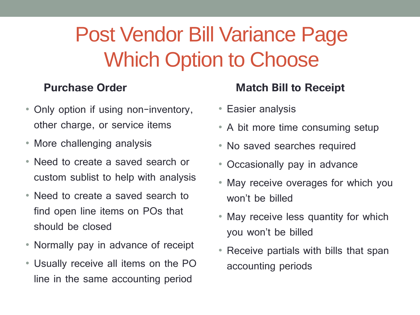# Post Vendor Bill Variance Page Which Option to Choose

- Only option if using non-inventory, other charge, or service items
- More challenging analysis
- Need to create a saved search or custom sublist to help with analysis
- Need to create a saved search to find open line items on POs that should be closed
- Normally pay in advance of receipt
- Usually receive all items on the PO line in the same accounting period

#### **Purchase Order Match Bill to Receipt**

- Easier analysis
- A bit more time consuming setup
- No saved searches required
- Occasionally pay in advance
- May receive overages for which you won't be billed
- May receive less quantity for which you won't be billed
- Receive partials with bills that span accounting periods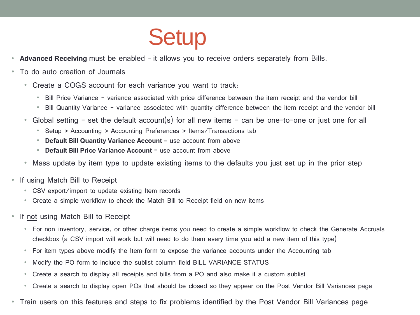

- **Advanced Receiving** must be enabled it allows you to receive orders separately from Bills.
- To do auto creation of Journals
	- Create a COGS account for each variance you want to track:
		- Bill Price Variance variance associated with price difference between the item receipt and the vendor bill
		- Bill Quantity Variance variance associated with quantity difference between the item receipt and the vendor bill
	- Global setting  $-$  set the default account(s) for all new items  $-$  can be one-to-one or just one for all
		- Setup > Accounting > Accounting Preferences > Items/Transactions tab
		- **Default Bill Quantity Variance Account** = use account from above
		- **Default Bill Price Variance Account** = use account from above
	- Mass update by item type to update existing items to the defaults you just set up in the prior step
- If using Match Bill to Receipt
	- CSV export/import to update existing Item records
	- Create a simple workflow to check the Match Bill to Receipt field on new items
- If not using Match Bill to Receipt
	- For non-inventory, service, or other charge items you need to create a simple workflow to check the Generate Accruals checkbox (a CSV import will work but will need to do them every time you add a new item of this type)
	- For item types above modify the Item form to expose the variance accounts under the Accounting tab
	- Modify the PO form to include the sublist column field BILL VARIANCE STATUS
	- Create a search to display all receipts and bills from a PO and also make it a custom sublist
	- Create a search to display open POs that should be closed so they appear on the Post Vendor Bill Variances page
- Train users on this features and steps to fix problems identified by the Post Vendor Bill Variances page